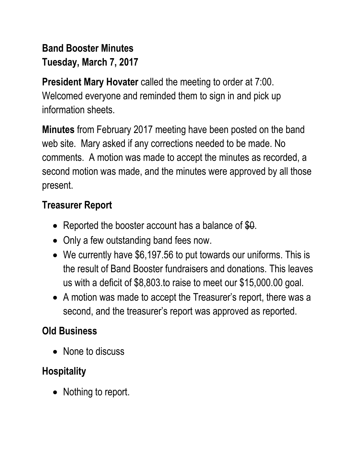# **Band Booster Minutes Tuesday, March 7, 2017**

**President Mary Hovater** called the meeting to order at 7:00. Welcomed everyone and reminded them to sign in and pick up information sheets.

**Minutes** from February 2017 meeting have been posted on the band web site. Mary asked if any corrections needed to be made. No comments. A motion was made to accept the minutes as recorded, a second motion was made, and the minutes were approved by all those present.

#### **Treasurer Report**

- Reported the booster account has a balance of \$0.
- Only a few outstanding band fees now.
- We currently have \$6,197.56 to put towards our uniforms. This is the result of Band Booster fundraisers and donations. This leaves us with a deficit of \$8,803.to raise to meet our \$15,000.00 goal.
- A motion was made to accept the Treasurer's report, there was a second, and the treasurer's report was approved as reported.

# **Old Business**

• None to discuss

# **Hospitality**

• Nothing to report.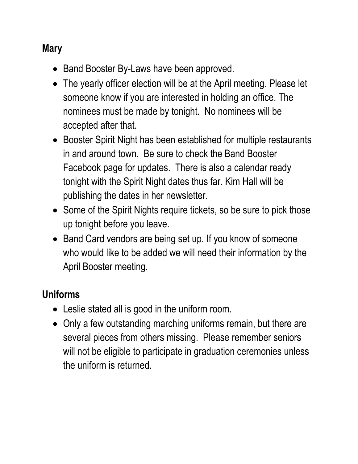### **Mary**

- Band Booster By-Laws have been approved.
- The yearly officer election will be at the April meeting. Please let someone know if you are interested in holding an office. The nominees must be made by tonight. No nominees will be accepted after that.
- Booster Spirit Night has been established for multiple restaurants in and around town. Be sure to check the Band Booster Facebook page for updates. There is also a calendar ready tonight with the Spirit Night dates thus far. Kim Hall will be publishing the dates in her newsletter.
- Some of the Spirit Nights require tickets, so be sure to pick those up tonight before you leave.
- Band Card vendors are being set up. If you know of someone who would like to be added we will need their information by the April Booster meeting.

#### **Uniforms**

- Leslie stated all is good in the uniform room.
- Only a few outstanding marching uniforms remain, but there are several pieces from others missing. Please remember seniors will not be eligible to participate in graduation ceremonies unless the uniform is returned.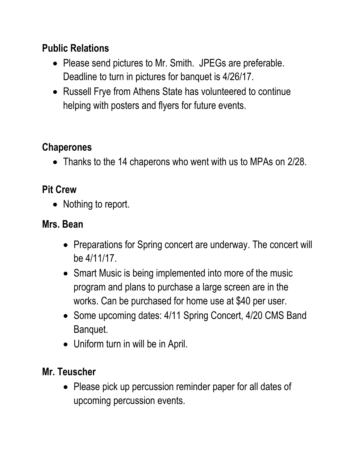### **Public Relations**

- Please send pictures to Mr. Smith. JPEGs are preferable. Deadline to turn in pictures for banquet is 4/26/17.
- Russell Frye from Athens State has volunteered to continue helping with posters and flyers for future events.

# **Chaperones**

• Thanks to the 14 chaperons who went with us to MPAs on 2/28.

# **Pit Crew**

• Nothing to report.

#### **Mrs. Bean**

- Preparations for Spring concert are underway. The concert will be 4/11/17.
- Smart Music is being implemented into more of the music program and plans to purchase a large screen are in the works. Can be purchased for home use at \$40 per user.
- Some upcoming dates: 4/11 Spring Concert, 4/20 CMS Band Banquet.
- Uniform turn in will be in April.

#### **Mr. Teuscher**

• Please pick up percussion reminder paper for all dates of upcoming percussion events.